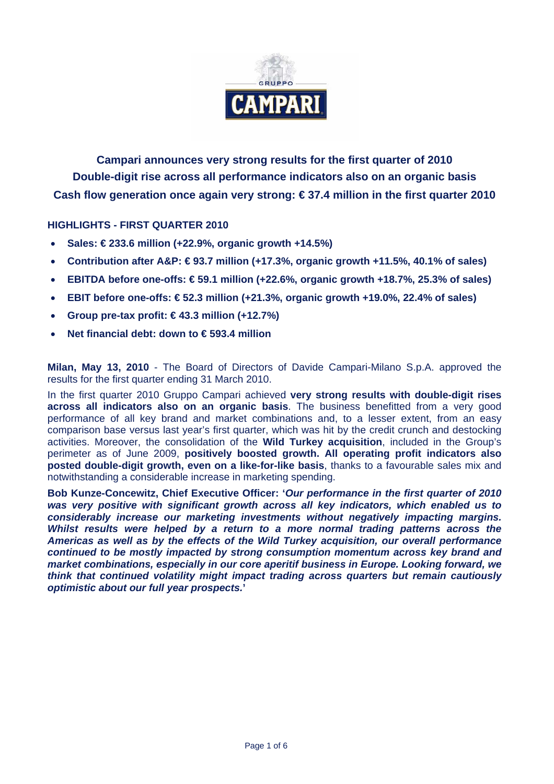

**Campari announces very strong results for the first quarter of 2010 Double-digit rise across all performance indicators also on an organic basis Cash flow generation once again very strong: € 37.4 million in the first quarter 2010** 

## **HIGHLIGHTS - FIRST QUARTER 2010**

- **Sales: € 233.6 million (+22.9%, organic growth +14.5%)**
- **Contribution after A&P: € 93.7 million (+17.3%, organic growth +11.5%, 40.1% of sales)**
- **EBITDA before one-offs: € 59.1 million (+22.6%, organic growth +18.7%, 25.3% of sales)**
- **EBIT before one-offs: € 52.3 million (+21.3%, organic growth +19.0%, 22.4% of sales)**
- **Group pre-tax profit: € 43.3 million (+12.7%)**
- **Net financial debt: down to € 593.4 million**

**Milan, May 13, 2010** - The Board of Directors of Davide Campari-Milano S.p.A. approved the results for the first quarter ending 31 March 2010.

In the first quarter 2010 Gruppo Campari achieved **very strong results with double-digit rises across all indicators also on an organic basis**. The business benefitted from a very good performance of all key brand and market combinations and, to a lesser extent, from an easy comparison base versus last year's first quarter, which was hit by the credit crunch and destocking activities. Moreover, the consolidation of the **Wild Turkey acquisition**, included in the Group's perimeter as of June 2009, **positively boosted growth. All operating profit indicators also posted double-digit growth, even on a like-for-like basis**, thanks to a favourable sales mix and notwithstanding a considerable increase in marketing spending.

**Bob Kunze-Concewitz, Chief Executive Officer: '***Our performance in the first quarter of 2010 was very positive with significant growth across all key indicators, which enabled us to considerably increase our marketing investments without negatively impacting margins. Whilst results were helped by a return to a more normal trading patterns across the Americas as well as by the effects of the Wild Turkey acquisition, our overall performance continued to be mostly impacted by strong consumption momentum across key brand and market combinations, especially in our core aperitif business in Europe. Looking forward, we think that continued volatility might impact trading across quarters but remain cautiously optimistic about our full year prospects.***'**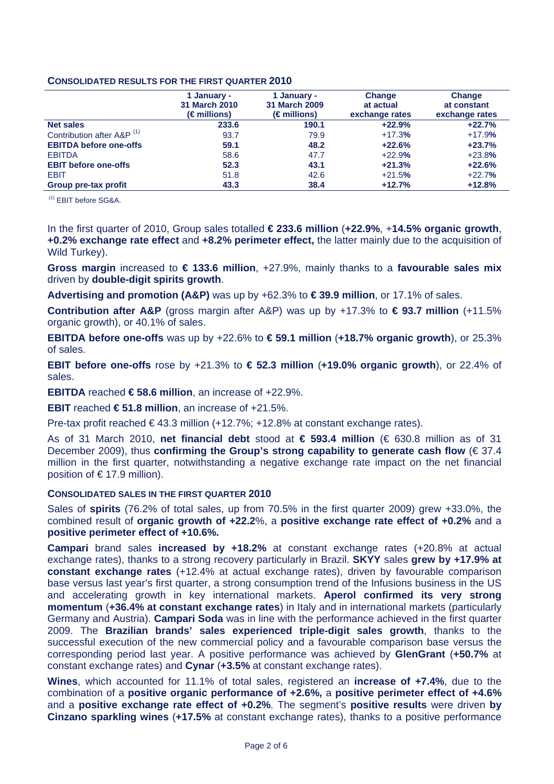### **CONSOLIDATED RESULTS FOR THE FIRST QUARTER 2010**

|                                       | 1 January -<br><b>31 March 2010</b><br>$(\epsilon$ millions) | 1 January -<br>31 March 2009<br>$(\epsilon$ millions) | <b>Change</b><br>at actual<br>exchange rates | <b>Change</b><br>at constant<br>exchange rates |
|---------------------------------------|--------------------------------------------------------------|-------------------------------------------------------|----------------------------------------------|------------------------------------------------|
| <b>Net sales</b>                      | 233.6                                                        | 190.1                                                 | $+22.9%$                                     | $+22.7%$                                       |
| Contribution after A&P <sup>(1)</sup> | 93.7                                                         | 79.9                                                  | $+17.3%$                                     | $+17.9%$                                       |
| <b>EBITDA before one-offs</b>         | 59.1                                                         | 48.2                                                  | $+22.6%$                                     | $+23.7%$                                       |
| <b>EBITDA</b>                         | 58.6                                                         | 47.7                                                  | $+22.9%$                                     | $+23.8%$                                       |
| <b>EBIT before one-offs</b>           | 52.3                                                         | 43.1                                                  | $+21.3%$                                     | $+22.6%$                                       |
| EBIT                                  | 51.8                                                         | 42.6                                                  | $+21.5%$                                     | $+22.7%$                                       |
| Group pre-tax profit                  | 43.3                                                         | 38.4                                                  | $+12.7%$                                     | $+12.8%$                                       |

(1) EBIT before SG&A.

In the first quarter of 2010, Group sales totalled **€ 233.6 million** (**+22.9%**, +**14.5% organic growth**, **+0.2% exchange rate effect** and **+8.2% perimeter effect,** the latter mainly due to the acquisition of Wild Turkey).

**Gross margin** increased to **€ 133.6 million**, +27.9%, mainly thanks to a **favourable sales mix** driven by **double-digit spirits growth**.

**Advertising and promotion (A&P)** was up by +62.3% to **€ 39.9 million**, or 17.1% of sales.

**Contribution after A&P** (gross margin after A&P) was up by +17.3% to **€ 93.7 million** (+11.5% organic growth), or 40.1% of sales.

**EBITDA before one-offs** was up by +22.6% to **€ 59.1 million** (**+18.7% organic growth**), or 25.3% of sales.

**EBIT before one-offs** rose by +21.3% to **€ 52.3 million** (**+19.0% organic growth**), or 22.4% of sales.

**EBITDA** reached **€ 58.6 million**, an increase of +22.9%.

**EBIT** reached **€ 51.8 million**, an increase of +21.5%.

Pre-tax profit reached  $\epsilon$ 43.3 million (+12.7%; +12.8% at constant exchange rates).

As of 31 March 2010, **net financial debt** stood at **€ 593.4 million** (€ 630.8 million as of 31 December 2009), thus **confirming the Group's strong capability to generate cash flow** (€ 37.4 million in the first quarter, notwithstanding a negative exchange rate impact on the net financial position of € 17.9 million).

### **CONSOLIDATED SALES IN THE FIRST QUARTER 2010**

Sales of **spirits** (76.2% of total sales, up from 70.5% in the first quarter 2009) grew +33.0%, the combined result of **organic growth of +22.2**%, a **positive exchange rate effect of +0.2%** and a **positive perimeter effect of +10.6%.**

**Campari** brand sales **increased by +18.2%** at constant exchange rates (+20.8% at actual exchange rates), thanks to a strong recovery particularly in Brazil. **SKYY** sales **grew by +17.9% at constant exchange rates** (+12.4% at actual exchange rates), driven by favourable comparison base versus last year's first quarter, a strong consumption trend of the Infusions business in the US and accelerating growth in key international markets. **Aperol confirmed its very strong momentum** (**+36.4% at constant exchange rates**) in Italy and in international markets (particularly Germany and Austria). **Campari Soda** was in line with the performance achieved in the first quarter 2009. The **Brazilian brands' sales experienced triple-digit sales growth**, thanks to the successful execution of the new commercial policy and a favourable comparison base versus the corresponding period last year. A positive performance was achieved by **GlenGrant** (**+50.7%** at constant exchange rates) and **Cynar** (**+3.5%** at constant exchange rates).

**Wines**, which accounted for 11.1% of total sales, registered an **increase of +7.4%**, due to the combination of a **positive organic performance of +2.6%,** a **positive perimeter effect of +4.6%** and a **positive exchange rate effect of +0.2%**. The segment's **positive results** were driven **by Cinzano sparkling wines** (**+17.5%** at constant exchange rates), thanks to a positive performance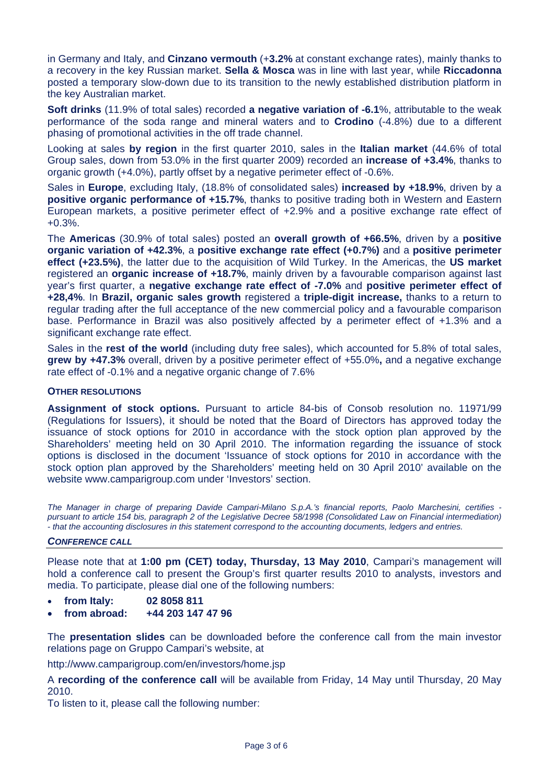in Germany and Italy, and **Cinzano vermouth** (+**3.2%** at constant exchange rates), mainly thanks to a recovery in the key Russian market. **Sella & Mosca** was in line with last year, while **Riccadonna** posted a temporary slow-down due to its transition to the newly established distribution platform in the key Australian market.

**Soft drinks** (11.9% of total sales) recorded **a negative variation of -6.1**%, attributable to the weak performance of the soda range and mineral waters and to **Crodino** (-4.8%) due to a different phasing of promotional activities in the off trade channel.

Looking at sales **by region** in the first quarter 2010, sales in the **Italian market** (44.6% of total Group sales, down from 53.0% in the first quarter 2009) recorded an **increase of +3.4%**, thanks to organic growth (+4.0%), partly offset by a negative perimeter effect of -0.6%.

Sales in **Europe**, excluding Italy, (18.8% of consolidated sales) **increased by +18.9%**, driven by a **positive organic performance of +15.7%**, thanks to positive trading both in Western and Eastern European markets, a positive perimeter effect of +2.9% and a positive exchange rate effect of +0.3%.

The **Americas** (30.9% of total sales) posted an **overall growth of +66.5%**, driven by a **positive organic variation of +42.3%**, a **positive exchange rate effect (+0.7%)** and a **positive perimeter effect (+23.5%)**, the latter due to the acquisition of Wild Turkey. In the Americas, the **US market** registered an **organic increase of +18.7%**, mainly driven by a favourable comparison against last year's first quarter, a **negative exchange rate effect of -7.0%** and **positive perimeter effect of +28,4%**. In **Brazil, organic sales growth** registered a **triple-digit increase,** thanks to a return to regular trading after the full acceptance of the new commercial policy and a favourable comparison base. Performance in Brazil was also positively affected by a perimeter effect of +1.3% and a significant exchange rate effect.

Sales in the **rest of the world** (including duty free sales), which accounted for 5.8% of total sales, **grew by +47.3%** overall, driven by a positive perimeter effect of +55.0%**,** and a negative exchange rate effect of -0.1% and a negative organic change of 7.6%

### **OTHER RESOLUTIONS**

**Assignment of stock options.** Pursuant to article 84-bis of Consob resolution no. 11971/99 (Regulations for Issuers), it should be noted that the Board of Directors has approved today the issuance of stock options for 2010 in accordance with the stock option plan approved by the Shareholders' meeting held on 30 April 2010. The information regarding the issuance of stock options is disclosed in the document 'Issuance of stock options for 2010 in accordance with the stock option plan approved by the Shareholders' meeting held on 30 April 2010' available on the website www.camparigroup.com under 'Investors' section.

*The Manager in charge of preparing Davide Campari-Milano S.p.A.'s financial reports, Paolo Marchesini, certifies pursuant to article 154 bis, paragraph 2 of the Legislative Decree 58/1998 (Consolidated Law on Financial intermediation) - that the accounting disclosures in this statement correspond to the accounting documents, ledgers and entries.* 

#### *CONFERENCE CALL*

Please note that at **1:00 pm (CET) today, Thursday, 13 May 2010**, Campari's management will hold a conference call to present the Group's first quarter results 2010 to analysts, investors and media. To participate, please dial one of the following numbers:

- **from Italy: 02 8058 811**
- **from abroad: +44 203 147 47 96**

The **presentation slides** can be downloaded before the conference call from the main investor relations page on Gruppo Campari's website, at

http://www.camparigroup.com/en/investors/home.jsp

A **recording of the conference call** will be available from Friday, 14 May until Thursday, 20 May 2010.

To listen to it, please call the following number: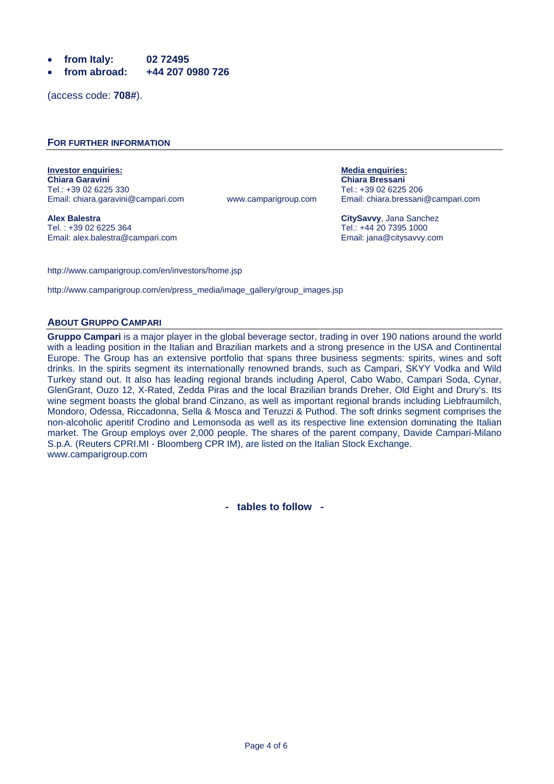- **from Italy: 02 72495**
- **from abroad: +44 207 0980 726**

(access code: **708#**).

#### **FOR FURTHER INFORMATION**

**Investor enquiries:** Media enquiries: Media enquiries: Media enquiries: Media enquiries: Media enquiries: Media enquiries: Media enquiries: Media enquiries: Media enquiries: Media enquiries: Media enquiries: Media enquiri **Chiara Garavini Chiara Bressani** 

**Alex Balestra CitySavvy**, Jana Sanchez Email: alex.balestra@campari.com Email: jana@citysavvy.com

Email: chiara.garavini@campari.com www.camparigroup.com

Tel.: +39 02 6225 330 Tel.: +39 02 6225 206

Tel.: +44 20 7395 1000

http://www.camparigroup.com/en/investors/home.jsp

http://www.camparigroup.com/en/press\_media/image\_gallery/group\_images.jsp

#### **ABOUT GRUPPO CAMPARI**

**Gruppo Campari** is a major player in the global beverage sector, trading in over 190 nations around the world with a leading position in the Italian and Brazilian markets and a strong presence in the USA and Continental Europe. The Group has an extensive portfolio that spans three business segments: spirits, wines and soft drinks. In the spirits segment its internationally renowned brands, such as Campari, SKYY Vodka and Wild Turkey stand out. It also has leading regional brands including Aperol, Cabo Wabo, Campari Soda, Cynar, GlenGrant, Ouzo 12, X-Rated, Zedda Piras and the local Brazilian brands Dreher, Old Eight and Drury's. Its wine segment boasts the global brand Cinzano, as well as important regional brands including Liebfraumilch, Mondoro, Odessa, Riccadonna, Sella & Mosca and Teruzzi & Puthod. The soft drinks segment comprises the non-alcoholic aperitif Crodino and Lemonsoda as well as its respective line extension dominating the Italian market. The Group employs over 2,000 people. The shares of the parent company, Davide Campari-Milano S.p.A. (Reuters CPRI.MI - Bloomberg CPR IM), are listed on the Italian Stock Exchange. www.camparigroup.com

**- tables to follow -**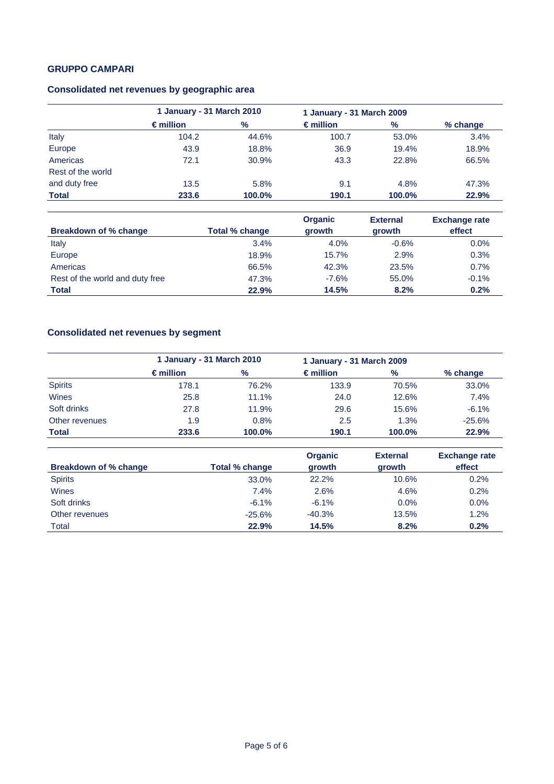# **GRUPPO CAMPARI**

# **Consolidated net revenues by geographic area**

|                   | 1 January - 31 March 2010 |        | 1 January - 31 March 2009 |        |            |
|-------------------|---------------------------|--------|---------------------------|--------|------------|
|                   | $\epsilon$ million        | %      | $\epsilon$ million        | $\%$   | $%$ change |
| Italy             | 104.2                     | 44.6%  | 100.7                     | 53.0%  | 3.4%       |
| Europe            | 43.9                      | 18.8%  | 36.9                      | 19.4%  | 18.9%      |
| Americas          | 72.1                      | 30.9%  | 43.3                      | 22.8%  | 66.5%      |
| Rest of the world |                           |        |                           |        |            |
| and duty free     | 13.5                      | 5.8%   | 9.1                       | 4.8%   | 47.3%      |
| <b>Total</b>      | 233.6                     | 100.0% | 190.1                     | 100.0% | 22.9%      |

| Breakdown of % change           | Total % change | <b>Organic</b><br>growth | <b>External</b><br>growth | <b>Exchange rate</b><br>effect |
|---------------------------------|----------------|--------------------------|---------------------------|--------------------------------|
| Italy                           | 3.4%           | 4.0%                     | $-0.6%$                   | $0.0\%$                        |
| Europe                          | 18.9%          | 15.7%                    | 2.9%                      | 0.3%                           |
| Americas                        | 66.5%          | 42.3%                    | 23.5%                     | 0.7%                           |
| Rest of the world and duty free | 47.3%          | $-7.6%$                  | 55.0%                     | $-0.1%$                        |
| <b>Total</b>                    | 22.9%          | 14.5%                    | 8.2%                      | 0.2%                           |

# **Consolidated net revenues by segment**

|                | 1 January - 31 March 2010 |        | 1 January - 31 March 2009 |        |          |
|----------------|---------------------------|--------|---------------------------|--------|----------|
|                | $\epsilon$ million        | $\%$   | $\epsilon$ million        | $\%$   | % change |
| <b>Spirits</b> | 178.1                     | 76.2%  | 133.9                     | 70.5%  | 33.0%    |
| Wines          | 25.8                      | 11.1%  | 24.0                      | 12.6%  | 7.4%     |
| Soft drinks    | 27.8                      | 11.9%  | 29.6                      | 15.6%  | $-6.1%$  |
| Other revenues | 1.9                       | 0.8%   | 2.5                       | 1.3%   | $-25.6%$ |
| <b>Total</b>   | 233.6                     | 100.0% | 190.1                     | 100.0% | 22.9%    |

|                       |                | <b>Organic</b> | <b>External</b> | <b>Exchange rate</b> |
|-----------------------|----------------|----------------|-----------------|----------------------|
| Breakdown of % change | Total % change | growth         | growth          | effect               |
| <b>Spirits</b>        | 33.0%          | 22.2%          | 10.6%           | 0.2%                 |
| Wines                 | 7.4%           | 2.6%           | 4.6%            | 0.2%                 |
| Soft drinks           | $-6.1%$        | $-6.1%$        | $0.0\%$         | 0.0%                 |
| Other revenues        | $-25.6%$       | $-40.3%$       | 13.5%           | 1.2%                 |
| Total                 | 22.9%          | 14.5%          | 8.2%            | 0.2%                 |